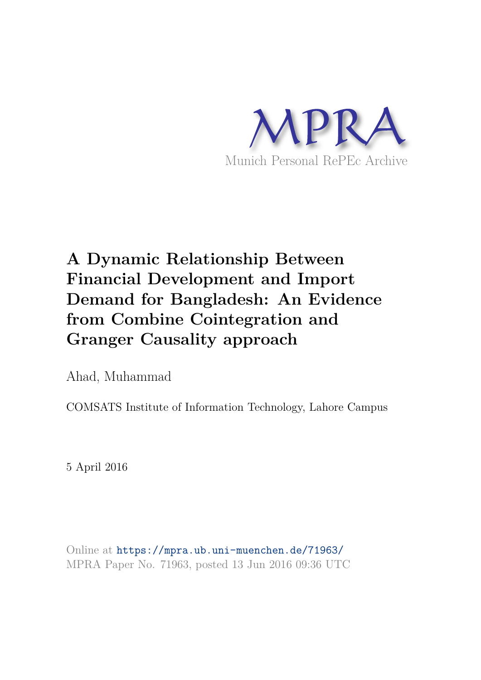

# **A Dynamic Relationship Between Financial Development and Import Demand for Bangladesh: An Evidence from Combine Cointegration and Granger Causality approach**

Ahad, Muhammad

COMSATS Institute of Information Technology, Lahore Campus

5 April 2016

Online at https://mpra.ub.uni-muenchen.de/71963/ MPRA Paper No. 71963, posted 13 Jun 2016 09:36 UTC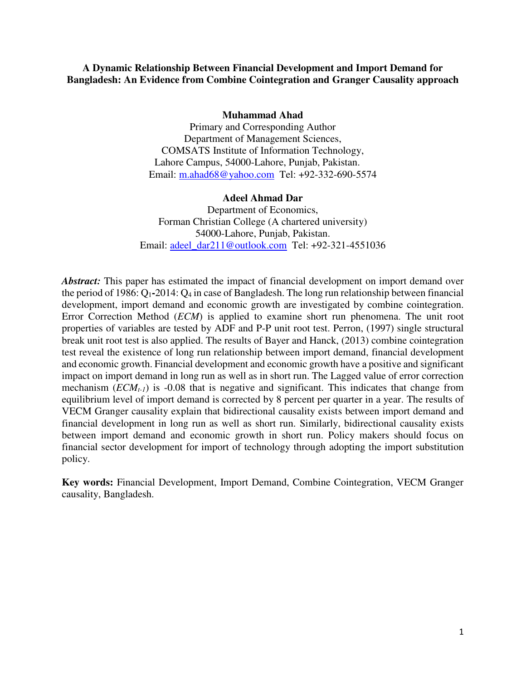## **A Dynamic Relationship Between Financial Development and Import Demand for Bangladesh: An Evidence from Combine Cointegration and Granger Causality approach**

#### **Muhammad Ahad**

Primary and Corresponding Author Department of Management Sciences, COMSATS Institute of Information Technology, Lahore Campus, 54000-Lahore, Punjab, Pakistan. Email: [m.ahad68@yahoo.com](mailto:m.ahad68@yahoo.com) Tel: +92-332-690-5574

#### **Adeel Ahmad Dar**

Department of Economics, Forman Christian College (A chartered university) 54000-Lahore, Punjab, Pakistan. Email: [adeel\\_dar211@outlook.com](mailto:adeel_dar211@outlook.com) Tel: +92-321-4551036

*Abstract:* This paper has estimated the impact of financial development on import demand over the period of 1986: Q<sub>1</sub>-2014: Q<sub>4</sub> in case of Bangladesh. The long run relationship between financial development, import demand and economic growth are investigated by combine cointegration. Error Correction Method (*ECM*) is applied to examine short run phenomena. The unit root properties of variables are tested by ADF and P-P unit root test. Perron, (1997) single structural break unit root test is also applied. The results of Bayer and Hanck, (2013) combine cointegration test reveal the existence of long run relationship between import demand, financial development and economic growth. Financial development and economic growth have a positive and significant impact on import demand in long run as well as in short run. The Lagged value of error correction mechanism  $(ECM<sub>t-1</sub>)$  is -0.08 that is negative and significant. This indicates that change from equilibrium level of import demand is corrected by 8 percent per quarter in a year. The results of VECM Granger causality explain that bidirectional causality exists between import demand and financial development in long run as well as short run. Similarly, bidirectional causality exists between import demand and economic growth in short run. Policy makers should focus on financial sector development for import of technology through adopting the import substitution policy.

**Key words:** Financial Development, Import Demand, Combine Cointegration, VECM Granger causality, Bangladesh.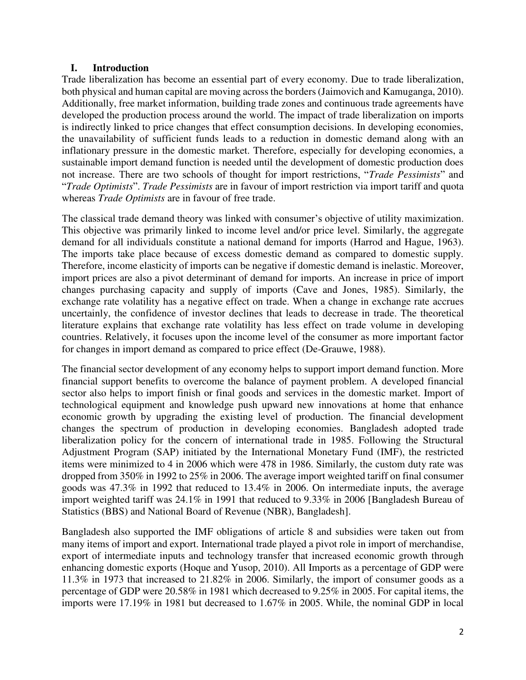## **I. Introduction**

Trade liberalization has become an essential part of every economy. Due to trade liberalization, both physical and human capital are moving across the borders (Jaimovich and Kamuganga, 2010). Additionally, free market information, building trade zones and continuous trade agreements have developed the production process around the world. The impact of trade liberalization on imports is indirectly linked to price changes that effect consumption decisions. In developing economies, the unavailability of sufficient funds leads to a reduction in domestic demand along with an inflationary pressure in the domestic market. Therefore, especially for developing economies, a sustainable import demand function is needed until the development of domestic production does not increase. There are two schools of thought for import restrictions, "*Trade Pessimists*" and "*Trade Optimists*". *Trade Pessimists* are in favour of import restriction via import tariff and quota whereas *Trade Optimists* are in favour of free trade.

The classical trade demand theory was linked with consumer's objective of utility maximization. This objective was primarily linked to income level and/or price level. Similarly, the aggregate demand for all individuals constitute a national demand for imports (Harrod and Hague, 1963). The imports take place because of excess domestic demand as compared to domestic supply. Therefore, income elasticity of imports can be negative if domestic demand is inelastic. Moreover, import prices are also a pivot determinant of demand for imports. An increase in price of import changes purchasing capacity and supply of imports (Cave and Jones, 1985). Similarly, the exchange rate volatility has a negative effect on trade. When a change in exchange rate accrues uncertainly, the confidence of investor declines that leads to decrease in trade. The theoretical literature explains that exchange rate volatility has less effect on trade volume in developing countries. Relatively, it focuses upon the income level of the consumer as more important factor for changes in import demand as compared to price effect (De-Grauwe, 1988).

The financial sector development of any economy helps to support import demand function. More financial support benefits to overcome the balance of payment problem. A developed financial sector also helps to import finish or final goods and services in the domestic market. Import of technological equipment and knowledge push upward new innovations at home that enhance economic growth by upgrading the existing level of production. The financial development changes the spectrum of production in developing economies. Bangladesh adopted trade liberalization policy for the concern of international trade in 1985. Following the Structural Adjustment Program (SAP) initiated by the International Monetary Fund (IMF), the restricted items were minimized to 4 in 2006 which were 478 in 1986. Similarly, the custom duty rate was dropped from 350% in 1992 to 25% in 2006. The average import weighted tariff on final consumer goods was 47.3% in 1992 that reduced to 13.4% in 2006. On intermediate inputs, the average import weighted tariff was 24.1% in 1991 that reduced to 9.33% in 2006 [Bangladesh Bureau of Statistics (BBS) and National Board of Revenue (NBR), Bangladesh].

Bangladesh also supported the IMF obligations of article 8 and subsidies were taken out from many items of import and export. International trade played a pivot role in import of merchandise, export of intermediate inputs and technology transfer that increased economic growth through enhancing domestic exports (Hoque and Yusop, 2010). All Imports as a percentage of GDP were 11.3% in 1973 that increased to 21.82% in 2006. Similarly, the import of consumer goods as a percentage of GDP were 20.58% in 1981 which decreased to 9.25% in 2005. For capital items, the imports were 17.19% in 1981 but decreased to 1.67% in 2005. While, the nominal GDP in local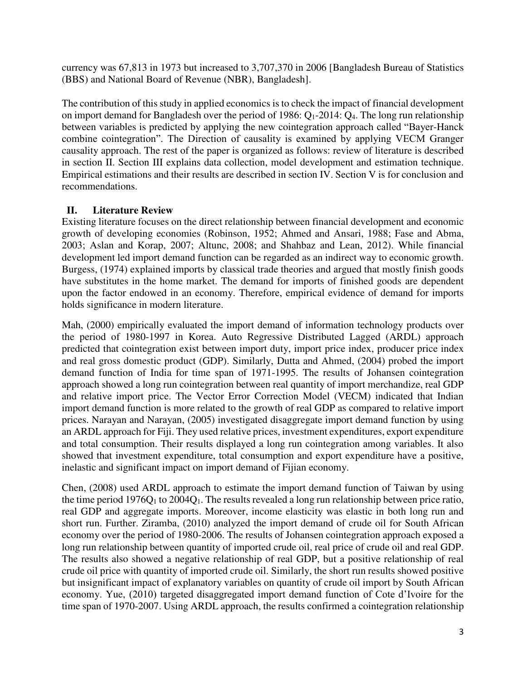currency was 67,813 in 1973 but increased to 3,707,370 in 2006 [Bangladesh Bureau of Statistics (BBS) and National Board of Revenue (NBR), Bangladesh].

The contribution of this study in applied economics is to check the impact of financial development on import demand for Bangladesh over the period of 1986:  $Q_1$ -2014:  $Q_4$ . The long run relationship between variables is predicted by applying the new cointegration approach called "Bayer-Hanck combine cointegration". The Direction of causality is examined by applying VECM Granger causality approach. The rest of the paper is organized as follows: review of literature is described in section II. Section III explains data collection, model development and estimation technique. Empirical estimations and their results are described in section IV. Section V is for conclusion and recommendations.

## **II. Literature Review**

Existing literature focuses on the direct relationship between financial development and economic growth of developing economies (Robinson, 1952; Ahmed and Ansari, 1988; Fase and Abma, 2003; Aslan and Korap, 2007; Altunc, 2008; and Shahbaz and Lean, 2012). While financial development led import demand function can be regarded as an indirect way to economic growth. Burgess, (1974) explained imports by classical trade theories and argued that mostly finish goods have substitutes in the home market. The demand for imports of finished goods are dependent upon the factor endowed in an economy. Therefore, empirical evidence of demand for imports holds significance in modern literature.

Mah, (2000) empirically evaluated the import demand of information technology products over the period of 1980-1997 in Korea. Auto Regressive Distributed Lagged (ARDL) approach predicted that cointegration exist between import duty, import price index, producer price index and real gross domestic product (GDP). Similarly, Dutta and Ahmed, (2004) probed the import demand function of India for time span of 1971-1995. The results of Johansen cointegration approach showed a long run cointegration between real quantity of import merchandize, real GDP and relative import price. The Vector Error Correction Model (VECM) indicated that Indian import demand function is more related to the growth of real GDP as compared to relative import prices. Narayan and Narayan, (2005) investigated disaggregate import demand function by using an ARDL approach for Fiji. They used relative prices, investment expenditures, export expenditure and total consumption. Their results displayed a long run cointegration among variables. It also showed that investment expenditure, total consumption and export expenditure have a positive, inelastic and significant impact on import demand of Fijian economy.

Chen, (2008) used ARDL approach to estimate the import demand function of Taiwan by using the time period  $1976Q_1$  to  $2004Q_1$ . The results revealed a long run relationship between price ratio, real GDP and aggregate imports. Moreover, income elasticity was elastic in both long run and short run. Further. Ziramba, (2010) analyzed the import demand of crude oil for South African economy over the period of 1980-2006. The results of Johansen cointegration approach exposed a long run relationship between quantity of imported crude oil, real price of crude oil and real GDP. The results also showed a negative relationship of real GDP, but a positive relationship of real crude oil price with quantity of imported crude oil. Similarly, the short run results showed positive but insignificant impact of explanatory variables on quantity of crude oil import by South African economy. Yue, (2010) targeted disaggregated import demand function of Cote d'Ivoire for the time span of 1970-2007. Using ARDL approach, the results confirmed a cointegration relationship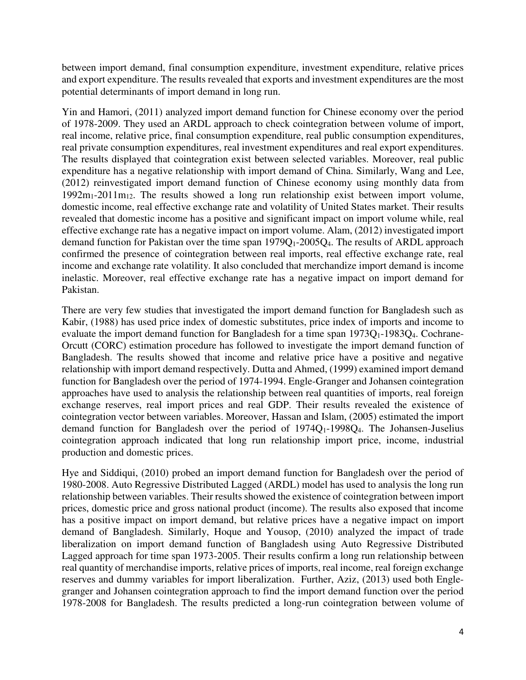between import demand, final consumption expenditure, investment expenditure, relative prices and export expenditure. The results revealed that exports and investment expenditures are the most potential determinants of import demand in long run.

Yin and Hamori, (2011) analyzed import demand function for Chinese economy over the period of 1978-2009. They used an ARDL approach to check cointegration between volume of import, real income, relative price, final consumption expenditure, real public consumption expenditures, real private consumption expenditures, real investment expenditures and real export expenditures. The results displayed that cointegration exist between selected variables. Moreover, real public expenditure has a negative relationship with import demand of China. Similarly, Wang and Lee, (2012) reinvestigated import demand function of Chinese economy using monthly data from  $1992m_1-2011m_{12}$ . The results showed a long run relationship exist between import volume, domestic income, real effective exchange rate and volatility of United States market. Their results revealed that domestic income has a positive and significant impact on import volume while, real effective exchange rate has a negative impact on import volume. Alam, (2012) investigated import demand function for Pakistan over the time span 1979Q1-2005Q4. The results of ARDL approach confirmed the presence of cointegration between real imports, real effective exchange rate, real income and exchange rate volatility. It also concluded that merchandize import demand is income inelastic. Moreover, real effective exchange rate has a negative impact on import demand for Pakistan.

There are very few studies that investigated the import demand function for Bangladesh such as Kabir, (1988) has used price index of domestic substitutes, price index of imports and income to evaluate the import demand function for Bangladesh for a time span  $1973Q_1 - 1983Q_4$ . Cochrane-Orcutt (CORC) estimation procedure has followed to investigate the import demand function of Bangladesh. The results showed that income and relative price have a positive and negative relationship with import demand respectively. Dutta and Ahmed, (1999) examined import demand function for Bangladesh over the period of 1974-1994. Engle-Granger and Johansen cointegration approaches have used to analysis the relationship between real quantities of imports, real foreign exchange reserves, real import prices and real GDP. Their results revealed the existence of cointegration vector between variables. Moreover, Hassan and Islam, (2005) estimated the import demand function for Bangladesh over the period of  $1974Q_1-1998Q_4$ . The Johansen-Juselius cointegration approach indicated that long run relationship import price, income, industrial production and domestic prices.

Hye and Siddiqui, (2010) probed an import demand function for Bangladesh over the period of 1980-2008. Auto Regressive Distributed Lagged (ARDL) model has used to analysis the long run relationship between variables. Their results showed the existence of cointegration between import prices, domestic price and gross national product (income). The results also exposed that income has a positive impact on import demand, but relative prices have a negative impact on import demand of Bangladesh. Similarly, Hoque and Yousop, (2010) analyzed the impact of trade liberalization on import demand function of Bangladesh using Auto Regressive Distributed Lagged approach for time span 1973-2005. Their results confirm a long run relationship between real quantity of merchandise imports, relative prices of imports, real income, real foreign exchange reserves and dummy variables for import liberalization. Further, Aziz, (2013) used both Englegranger and Johansen cointegration approach to find the import demand function over the period 1978-2008 for Bangladesh. The results predicted a long-run cointegration between volume of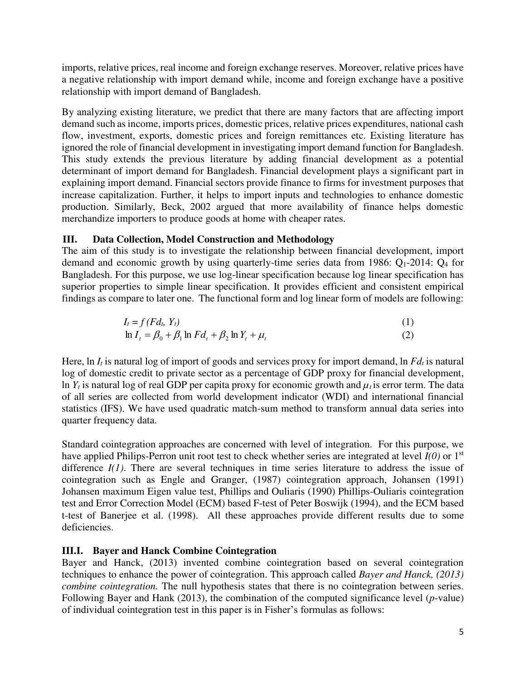imports, relative prices, real income and foreign exchange reserves. Moreover, relative prices have a negative relationship with import demand while, income and foreign exchange have a positive relationship with import demand of Bangladesh.

By analyzing existing literature, we predict that there are many factors that are affecting import demand such as income, imports prices, domestic prices, relative prices expenditures, national cash flow, investment, exports, domestic prices and foreign remittances etc. Existing literature has ignored the role of financial development in investigating import demand function for Bangladesh. This study extends the previous literature by adding financial development as a potential determinant of import demand for Bangladesh. Financial development plays a significant part in explaining import demand. Financial sectors provide finance to firms for investment purposes that increase capitalization. Further, it helps to import inputs and technologies to enhance domestic production. Similarly, Beck, 2002 argued that more availability of finance helps domestic merchandize importers to produce goods at home with cheaper rates.

## **III. Data Collection, Model Construction and Methodology**

The aim of this study is to investigate the relationship between financial development, import demand and economic growth by using quarterly-time series data from 1986:  $Q_1$ -2014:  $Q_4$  for Bangladesh. For this purpose, we use log-linear specification because log linear specification has superior properties to simple linear specification. It provides efficient and consistent empirical findings as compare to later one. The functional form and log linear form of models are following:

$$
I_t = f (F d_t, Y_t)
$$
  
\n
$$
\ln I_t = \beta_0 + \beta_1 \ln F d_t + \beta_2 \ln Y_t + \mu_t
$$
\n(1)

Here, ln *It* is natural log of import of goods and services proxy for import demand, ln *Fdt* is natural log of domestic credit to private sector as a percentage of GDP proxy for financial development, ln  $Y_t$  is natural log of real GDP per capita proxy for economic growth and  $\mu_t$  is error term. The data of all series are collected from world development indicator (WDI) and international financial statistics (IFS). We have used quadratic match-sum method to transform annual data series into quarter frequency data.

Standard cointegration approaches are concerned with level of integration. For this purpose, we have applied Philips-Perron unit root test to check whether series are integrated at level *I(0)* or 1st difference *I(1)*. There are several techniques in time series literature to address the issue of cointegration such as Engle and Granger, (1987) cointegration approach, Johansen (1991) Johansen maximum Eigen value test, Phillips and Ouliaris (1990) Phillips-Ouliaris cointegration test and Error Correction Model (ECM) based F-test of Peter Boswijk (1994), and the ECM based t-test of Banerjee et al. (1998). All these approaches provide different results due to some deficiencies.

## **III.I. Bayer and Hanck Combine Cointegration**

Bayer and Hanck, (2013) invented combine cointegration based on several cointegration techniques to enhance the power of cointegration. This approach called *Bayer and Hanck, (2013) combine cointegration.* The null hypothesis states that there is no cointegration between series. Following Bayer and Hank (2013), the combination of the computed significance level (*p*-value) of individual cointegration test in this paper is in Fisher's formulas as follows: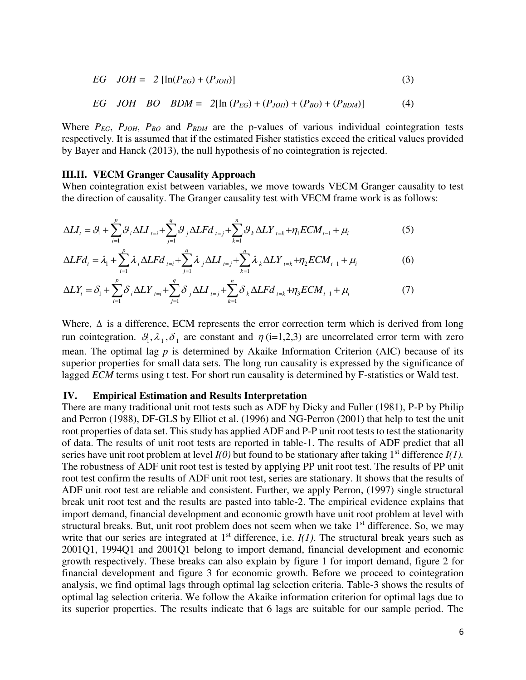$$
EG - JOH = -2 [\ln(P_{EG}) + (P_{JOH})]
$$
 (3)

$$
EG - JOH - BO - BDM = -2[\ln(P_{EG}) + (P_{JOH}) + (P_{BO}) + (P_{BDM})]
$$
(4)

Where *PEG*, *PJOH*, *PBO* and *PBDM* are the p-values of various individual cointegration tests respectively. It is assumed that if the estimated Fisher statistics exceed the critical values provided by Bayer and Hanck (2013), the null hypothesis of no cointegration is rejected.

#### **III.II. VECM Granger Causality Approach**

When cointegration exist between variables, we move towards VECM Granger causality to test the direction of causality. The Granger causality test with VECM frame work is as follows:

$$
\Delta LI_{t} = \mathcal{G}_{1} + \sum_{i=1}^{p} \mathcal{G}_{i} \Delta LI_{t=i} + \sum_{j=1}^{q} \mathcal{G}_{j} \Delta LFd_{t=j} + \sum_{k=1}^{n} \mathcal{G}_{k} \Delta LY_{t=k} + \eta_{1} ECM_{t-1} + \mu_{i}
$$
(5)

$$
\Delta L F d_t = \lambda_1 + \sum_{i=1}^p \lambda_i \Delta L F d_{t=i} + \sum_{j=1}^q \lambda_j \Delta L I_{t=j} + \sum_{k=1}^n \lambda_k \Delta L Y_{t=k} + \eta_2 E C M_{t-1} + \mu_i
$$
(6)

$$
\Delta L Y_{t} = \delta_{1} + \sum_{i=1}^{p} \delta_{i} \Delta L Y_{t=i} + \sum_{j=1}^{q} \delta_{j} \Delta L I_{t=j} + \sum_{k=1}^{n} \delta_{k} \Delta L F d_{t=k} + \eta_{3} E C M_{t-1} + \mu_{i}
$$
(7)

Where,  $\Delta$  is a difference, ECM represents the error correction term which is derived from long run cointegration.  $\mathcal{G}_1, \lambda_1, \delta_1$  are constant and  $\eta$  (i=1,2,3) are uncorrelated error term with zero mean. The optimal lag *p* is determined by Akaike Information Criterion (AIC) because of its superior properties for small data sets. The long run causality is expressed by the significance of lagged *ECM* terms using t test. For short run causality is determined by F-statistics or Wald test.

#### **IV. Empirical Estimation and Results Interpretation**

There are many traditional unit root tests such as ADF by Dicky and Fuller (1981), P-P by Philip and Perron (1988), DF-GLS by Elliot et al. (1996) and NG-Perron (2001) that help to test the unit root properties of data set. This study has applied ADF and P-P unit root tests to test the stationarity of data. The results of unit root tests are reported in table-1. The results of ADF predict that all series have unit root problem at level  $I(0)$  but found to be stationary after taking 1<sup>st</sup> difference  $I(1)$ . The robustness of ADF unit root test is tested by applying PP unit root test. The results of PP unit root test confirm the results of ADF unit root test, series are stationary. It shows that the results of ADF unit root test are reliable and consistent. Further, we apply Perron, (1997) single structural break unit root test and the results are pasted into table-2. The empirical evidence explains that import demand, financial development and economic growth have unit root problem at level with structural breaks. But, unit root problem does not seem when we take  $1<sup>st</sup>$  difference. So, we may write that our series are integrated at  $1<sup>st</sup>$  difference, i.e.  $I(1)$ . The structural break years such as 2001Q1, 1994Q1 and 2001Q1 belong to import demand, financial development and economic growth respectively. These breaks can also explain by figure 1 for import demand, figure 2 for financial development and figure 3 for economic growth. Before we proceed to cointegration analysis, we find optimal lags through optimal lag selection criteria. Table-3 shows the results of optimal lag selection criteria. We follow the Akaike information criterion for optimal lags due to its superior properties. The results indicate that 6 lags are suitable for our sample period. The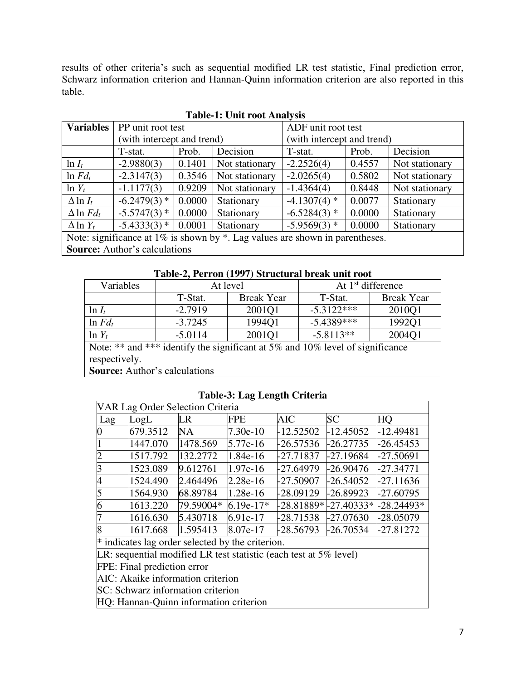results of other criteria's such as sequential modified LR test statistic, Final prediction error, Schwarz information criterion and Hannan-Quinn information criterion are also reported in this table.

| <b>Variables</b>                                                                   | PP unit root test          |        |                | ADF unit root test         |        |                |
|------------------------------------------------------------------------------------|----------------------------|--------|----------------|----------------------------|--------|----------------|
|                                                                                    | (with intercept and trend) |        |                | (with intercept and trend) |        |                |
|                                                                                    | T-stat.                    | Prob.  | Decision       | T-stat.                    | Prob.  | Decision       |
| $\ln I_t$                                                                          | $-2.9880(3)$               | 0.1401 | Not stationary | $-2.2526(4)$               | 0.4557 | Not stationary |
| $\ln F d_t$                                                                        | $-2.3147(3)$               | 0.3546 | Not stationary | $-2.0265(4)$               | 0.5802 | Not stationary |
| $\ln Y_t$                                                                          | $-1.1177(3)$               | 0.9209 | Not stationary | $-1.4364(4)$               | 0.8448 | Not stationary |
| $\Delta$ ln $I_t$                                                                  | $-6.2479(3)$ *             | 0.0000 | Stationary     | $-4.1307(4)$ *             | 0.0077 | Stationary     |
| $\Delta$ ln $Fd_t$                                                                 | $-5.5747(3)$ *             | 0.0000 | Stationary     | $-6.5284(3)$ *             | 0.0000 | Stationary     |
| $\Delta$ ln $Y_t$                                                                  | $-5.4333(3)$ *             | 0.0001 | Stationary     | $-5.9569(3)$ *             | 0.0000 | Stationary     |
| Note: significance at $1\%$ is shown by $*$ . Lag values are shown in parentheses. |                            |        |                |                            |        |                |
| <b>Source:</b> Author's calculations                                               |                            |        |                |                            |        |                |

**Table-1: Unit root Analysis** 

**Table-2, Perron (1997) Structural break unit root** 

| Variables                                                                     | At level  |                   | At $1st$ difference |                   |  |  |
|-------------------------------------------------------------------------------|-----------|-------------------|---------------------|-------------------|--|--|
|                                                                               | T-Stat.   | <b>Break Year</b> | T-Stat.             | <b>Break Year</b> |  |  |
| $\ln I_t$                                                                     | $-2.7919$ | 2001Q1            | $-5.3122***$        | 2010Q1            |  |  |
| $\ln F d_t$                                                                   | $-3.7245$ | 1994Q1            | $-5.4389***$        | 1992Q1            |  |  |
| $\ln Y_t$                                                                     | $-5.0114$ | 2001Q1            | $-5.8113**$         | 2004Q1            |  |  |
| Note: ** and *** identify the significant at 5% and 10% level of significance |           |                   |                     |                   |  |  |
| respectively.                                                                 |           |                   |                     |                   |  |  |
| <b>Source:</b> Author's calculations                                          |           |                   |                     |                   |  |  |

## **Table-3: Lag Length Criteria**

| <b>VAR Lag Order Selection Criteria</b>                              |                                                    |           |              |                      |             |             |  |
|----------------------------------------------------------------------|----------------------------------------------------|-----------|--------------|----------------------|-------------|-------------|--|
| Lag                                                                  | LogL                                               | LR        | FPE          | AIC                  | <b>SC</b>   | HQ          |  |
| $\bf{0}$                                                             | 679.3512                                           | NA        | 7.30e-10     | $-12.52502$          | $-12.45052$ | $-12.49481$ |  |
|                                                                      | 1447.070                                           | 1478.569  | $5.77e-16$   | $-26.57536$          | $-26.27735$ | $-26.45453$ |  |
| $\overline{c}$                                                       | 1517.792                                           | 132.2772  | $1.84e-16$   | -27.71837            | -27.19684   | $-27.50691$ |  |
| $\overline{3}$                                                       | 1523.089                                           | 9.612761  | 1.97e-16     | -27.64979            | -26.90476   | $-27.34771$ |  |
| $\overline{\mathcal{A}}$                                             | 1524.490                                           | 2.464496  | $2.28e-16$   | -27.50907            | $-26.54052$ | $-27.11636$ |  |
| 5                                                                    | 1564.930                                           | 68.89784  | $ 1.28e-16 $ | -28.09129            | $-26.89923$ | $-27.60795$ |  |
| 6                                                                    | 1613.220                                           | 79.59004* | $6.19e-17*$  | -28.81889*-27.40333* |             | -28.24493*  |  |
| 7                                                                    | 1616.630                                           | 5.430718  | 6.91e-17     | -28.71538            | -27.07630   | -28.05079   |  |
| 8                                                                    | 1617.668                                           | 1.595413  | 8.07e-17     | -28.56793            | $-26.70534$ | $-27.81272$ |  |
|                                                                      | $*$ indicates lag order selected by the criterion. |           |              |                      |             |             |  |
| $LR$ : sequential modified LR test statistic (each test at 5% level) |                                                    |           |              |                      |             |             |  |
| FPE: Final prediction error                                          |                                                    |           |              |                      |             |             |  |
| AIC: Akaike information criterion                                    |                                                    |           |              |                      |             |             |  |
| SC: Schwarz information criterion                                    |                                                    |           |              |                      |             |             |  |
|                                                                      | HQ: Hannan-Quinn information criterion             |           |              |                      |             |             |  |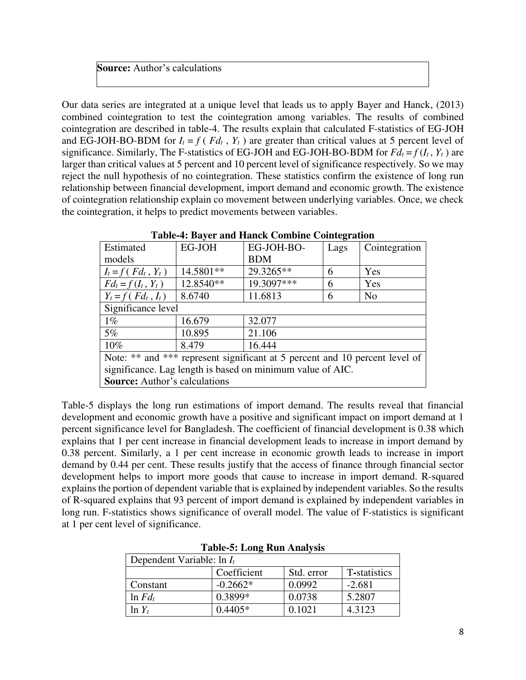## **Source:** Author's calculations

Our data series are integrated at a unique level that leads us to apply Bayer and Hanck, (2013) combined cointegration to test the cointegration among variables. The results of combined cointegration are described in table-4. The results explain that calculated F-statistics of EG-JOH and EG-JOH-BO-BDM for  $I_t = f(Fd_t, Y_t)$  are greater than critical values at 5 percent level of significance. Similarly, The F-statistics of EG-JOH and EG-JOH-BO-BDM for  $Fd_t = f(I_t, Y_t)$  are larger than critical values at 5 percent and 10 percent level of significance respectively. So we may reject the null hypothesis of no cointegration. These statistics confirm the existence of long run relationship between financial development, import demand and economic growth. The existence of cointegration relationship explain co movement between underlying variables. Once, we check the cointegration, it helps to predict movements between variables.

| Estimated                                                                   | EG-JOH    | EG-JOH-BO- | Lags | Cointegration  |  |  |  |
|-----------------------------------------------------------------------------|-----------|------------|------|----------------|--|--|--|
| models                                                                      |           | <b>BDM</b> |      |                |  |  |  |
| $I_t = f(Fd_t, Y_t)$                                                        | 14.5801** | 29.3265**  | 6    | Yes            |  |  |  |
| $Fd_t = f(I_t, Y_t)$                                                        | 12.8540** | 19.3097*** | 6    | Yes            |  |  |  |
| $Y_t = f(Fd_t, I_t)$                                                        | 8.6740    | 11.6813    | 6    | N <sub>o</sub> |  |  |  |
| Significance level                                                          |           |            |      |                |  |  |  |
| $1\%$                                                                       | 16.679    | 32.077     |      |                |  |  |  |
| $5\%$                                                                       | 10.895    | 21.106     |      |                |  |  |  |
| 10%                                                                         | 8.479     | 16.444     |      |                |  |  |  |
| Note: ** and *** represent significant at 5 percent and 10 percent level of |           |            |      |                |  |  |  |
| significance. Lag length is based on minimum value of AIC.                  |           |            |      |                |  |  |  |
| <b>Source:</b> Author's calculations                                        |           |            |      |                |  |  |  |
|                                                                             |           |            |      |                |  |  |  |

## **Table-4: Bayer and Hanck Combine Cointegration**

Table-5 displays the long run estimations of import demand. The results reveal that financial development and economic growth have a positive and significant impact on import demand at 1 percent significance level for Bangladesh. The coefficient of financial development is 0.38 which explains that 1 per cent increase in financial development leads to increase in import demand by 0.38 percent. Similarly, a 1 per cent increase in economic growth leads to increase in import demand by 0.44 per cent. These results justify that the access of finance through financial sector development helps to import more goods that cause to increase in import demand. R-squared explains the portion of dependent variable that is explained by independent variables. So the results of R-squared explains that 93 percent of import demand is explained by independent variables in long run. F-statistics shows significance of overall model. The value of F-statistics is significant at 1 per cent level of significance.

| Dependent Variable: $\ln I_t$ |             |            |              |  |  |  |
|-------------------------------|-------------|------------|--------------|--|--|--|
|                               | Coefficient | Std. error | T-statistics |  |  |  |
| Constant                      | $-0.2662*$  | 0.0992     | $-2.681$     |  |  |  |
| $\ln F d_t$                   | 0.3899*     | 0.0738     | 5.2807       |  |  |  |
| $\ln Y_t$                     | $0.4405*$   | 0.1021     | 4.3123       |  |  |  |

**Table-5: Long Run Analysis**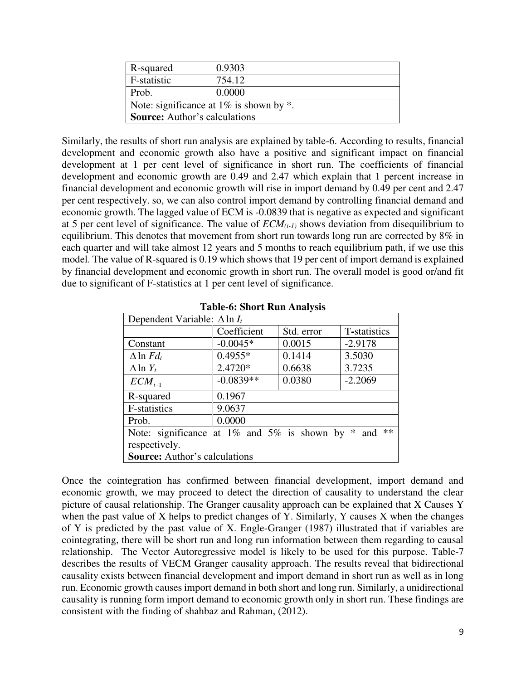| R-squared                                     | 0.9303 |  |  |  |
|-----------------------------------------------|--------|--|--|--|
| F-statistic                                   | 754.12 |  |  |  |
| Prob.                                         | 0.0000 |  |  |  |
| Note: significance at $1\%$ is shown by $*$ . |        |  |  |  |
| <b>Source:</b> Author's calculations          |        |  |  |  |

Similarly, the results of short run analysis are explained by table-6. According to results, financial development and economic growth also have a positive and significant impact on financial development at 1 per cent level of significance in short run. The coefficients of financial development and economic growth are 0.49 and 2.47 which explain that 1 percent increase in financial development and economic growth will rise in import demand by 0.49 per cent and 2.47 per cent respectively. so, we can also control import demand by controlling financial demand and economic growth. The lagged value of ECM is -0.0839 that is negative as expected and significant at 5 per cent level of significance. The value of *ECM(t-1)* shows deviation from disequilibrium to equilibrium. This denotes that movement from short run towards long run are corrected by 8% in each quarter and will take almost 12 years and 5 months to reach equilibrium path, if we use this model. The value of R-squared is 0.19 which shows that 19 per cent of import demand is explained by financial development and economic growth in short run. The overall model is good or/and fit due to significant of F-statistics at 1 per cent level of significance.

| Dependent Variable: $\Delta \ln I_t$                         |             |            |              |  |  |
|--------------------------------------------------------------|-------------|------------|--------------|--|--|
|                                                              | Coefficient | Std. error | T-statistics |  |  |
| Constant                                                     | $-0.0045*$  | 0.0015     | $-2.9178$    |  |  |
| $\Delta$ ln $Fd_t$                                           | $0.4955*$   | 0.1414     | 3.5030       |  |  |
| $\Delta$ ln $Y_t$                                            | 2.4720*     | 0.6638     | 3.7235       |  |  |
| $ECM_{t-1}$                                                  | $-0.0839**$ | 0.0380     | $-2.2069$    |  |  |
| R-squared                                                    | 0.1967      |            |              |  |  |
| F-statistics                                                 | 9.0637      |            |              |  |  |
| Prob.                                                        | 0.0000      |            |              |  |  |
| **<br>Note: significance at 1% and 5% is shown by $*$<br>and |             |            |              |  |  |
| respectively.                                                |             |            |              |  |  |
| <b>Source:</b> Author's calculations                         |             |            |              |  |  |

**Table-6: Short Run Analysis** 

Once the cointegration has confirmed between financial development, import demand and economic growth, we may proceed to detect the direction of causality to understand the clear picture of causal relationship. The Granger causality approach can be explained that X Causes Y when the past value of X helps to predict changes of Y. Similarly, Y causes X when the changes of Y is predicted by the past value of X. Engle-Granger (1987) illustrated that if variables are cointegrating, there will be short run and long run information between them regarding to causal relationship. The Vector Autoregressive model is likely to be used for this purpose. Table-7 describes the results of VECM Granger causality approach. The results reveal that bidirectional causality exists between financial development and import demand in short run as well as in long run. Economic growth causes import demand in both short and long run. Similarly, a unidirectional causality is running form import demand to economic growth only in short run. These findings are consistent with the finding of shahbaz and Rahman, (2012).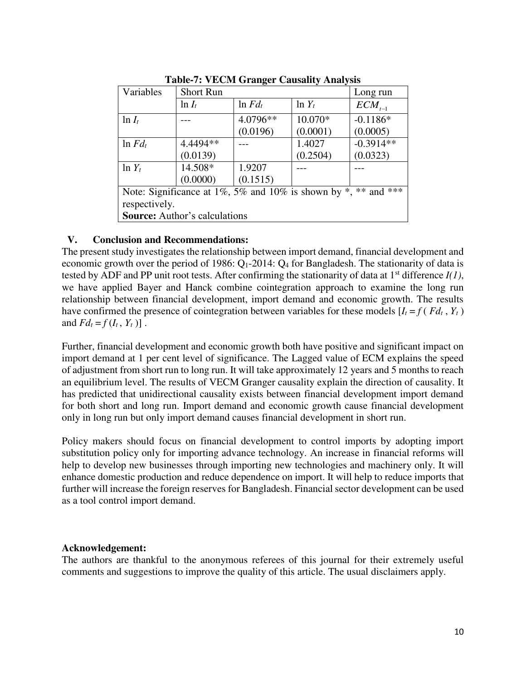|                                                                | TWOTE IT TECHT GIMMENT CHADMIT, THIMI, DID |             |           |             |  |  |  |
|----------------------------------------------------------------|--------------------------------------------|-------------|-----------|-------------|--|--|--|
| Variables                                                      | <b>Short Run</b>                           |             |           | Long run    |  |  |  |
|                                                                | $\ln I_t$                                  | $\ln F d_t$ | $\ln Y_t$ | $ECM_{t-1}$ |  |  |  |
| $\ln I_t$                                                      |                                            | 4.0796**    | 10.070*   | $-0.1186*$  |  |  |  |
|                                                                |                                            | (0.0196)    | (0.0001)  | (0.0005)    |  |  |  |
| $\ln F d_t$                                                    | 4.4494 **                                  |             | 1.4027    | $-0.3914**$ |  |  |  |
|                                                                | (0.0139)                                   |             | (0.2504)  | (0.0323)    |  |  |  |
| $\ln Y_t$                                                      | 14.508*                                    | 1.9207      |           |             |  |  |  |
|                                                                | (0.0000)                                   | (0.1515)    |           |             |  |  |  |
| Note: Significance at 1%, 5% and 10% is shown by *, ** and *** |                                            |             |           |             |  |  |  |
| respectively.                                                  |                                            |             |           |             |  |  |  |
| <b>Source:</b> Author's calculations                           |                                            |             |           |             |  |  |  |

**Table-7: VECM Granger Causality Analysis** 

## **V. Conclusion and Recommendations:**

The present study investigates the relationship between import demand, financial development and economic growth over the period of 1986: Q<sub>1</sub>-2014: Q<sub>4</sub> for Bangladesh. The stationarity of data is tested by ADF and PP unit root tests. After confirming the stationarity of data at  $1<sup>st</sup>$  difference  $I(1)$ , we have applied Bayer and Hanck combine cointegration approach to examine the long run relationship between financial development, import demand and economic growth. The results have confirmed the presence of cointegration between variables for these models  $[I_t = f (F d_t, Y_t)]$ and  $Fd_t = f(I_t, Y_t)$ .

Further, financial development and economic growth both have positive and significant impact on import demand at 1 per cent level of significance. The Lagged value of ECM explains the speed of adjustment from short run to long run. It will take approximately 12 years and 5 months to reach an equilibrium level. The results of VECM Granger causality explain the direction of causality. It has predicted that unidirectional causality exists between financial development import demand for both short and long run. Import demand and economic growth cause financial development only in long run but only import demand causes financial development in short run.

Policy makers should focus on financial development to control imports by adopting import substitution policy only for importing advance technology. An increase in financial reforms will help to develop new businesses through importing new technologies and machinery only. It will enhance domestic production and reduce dependence on import. It will help to reduce imports that further will increase the foreign reserves for Bangladesh. Financial sector development can be used as a tool control import demand.

## **Acknowledgement:**

The authors are thankful to the anonymous referees of this journal for their extremely useful comments and suggestions to improve the quality of this article. The usual disclaimers apply.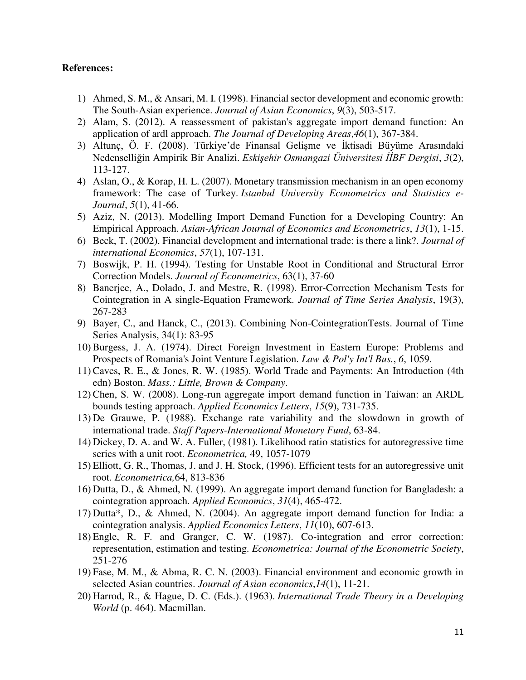#### **References:**

- 1) Ahmed, S. M., & Ansari, M. I. (1998). Financial sector development and economic growth: The South-Asian experience. *Journal of Asian Economics*, *9*(3), 503-517.
- 2) Alam, S. (2012). A reassessment of pakistan's aggregate import demand function: An application of ardl approach. *The Journal of Developing Areas*,*46*(1), 367-384.
- 3) Altunç, Ö. F. (2008). Türkiye'de Finansal Gelişme ve İktisadi Büyüme Arasındaki Nedenselliğin Ampirik Bir Analizi. *Eskişehir Osmangazi Üniversitesi İİBF Dergisi*, *3*(2), 113-127.
- 4) Aslan, O., & Korap, H. L. (2007). Monetary transmission mechanism in an open economy framework: The case of Turkey. *Istanbul University Econometrics and Statistics e-Journal*, *5*(1), 41-66.
- 5) Aziz, N. (2013). Modelling Import Demand Function for a Developing Country: An Empirical Approach. *Asian-African Journal of Economics and Econometrics*, *13*(1), 1-15.
- 6) Beck, T. (2002). Financial development and international trade: is there a link?. *Journal of international Economics*, *57*(1), 107-131.
- 7) Boswijk, P. H. (1994). Testing for Unstable Root in Conditional and Structural Error Correction Models. *Journal of Econometrics*, 63(1), 37-60
- 8) Banerjee, A., Dolado, J. and Mestre, R. (1998). Error-Correction Mechanism Tests for Cointegration in A single-Equation Framework. *Journal of Time Series Analysis*, 19(3), 267-283
- 9) Bayer, C., and Hanck, C., (2013). Combining Non-CointegrationTests. Journal of Time Series Analysis, 34(1): 83-95
- 10)Burgess, J. A. (1974). Direct Foreign Investment in Eastern Europe: Problems and Prospects of Romania's Joint Venture Legislation. *Law & Pol'y Int'l Bus.*, *6*, 1059.
- 11)Caves, R. E., & Jones, R. W. (1985). World Trade and Payments: An Introduction (4th edn) Boston. *Mass.: Little, Brown & Company*.
- 12)Chen, S. W. (2008). Long-run aggregate import demand function in Taiwan: an ARDL bounds testing approach. *Applied Economics Letters*, *15*(9), 731-735.
- 13) De Grauwe, P. (1988). Exchange rate variability and the slowdown in growth of international trade. *Staff Papers-International Monetary Fund*, 63-84.
- 14) Dickey, D. A. and W. A. Fuller, (1981). Likelihood ratio statistics for autoregressive time series with a unit root. *Econometrica,* 49, 1057-1079
- 15) Elliott, G. R., Thomas, J. and J. H. Stock, (1996). Efficient tests for an autoregressive unit root. *Econometrica,*64, 813-836
- 16) Dutta, D., & Ahmed, N. (1999). An aggregate import demand function for Bangladesh: a cointegration approach. *Applied Economics*, *31*(4), 465-472.
- 17) Dutta\*, D., & Ahmed, N. (2004). An aggregate import demand function for India: a cointegration analysis. *Applied Economics Letters*, *11*(10), 607-613.
- 18) Engle, R. F. and Granger, C. W. (1987). Co-integration and error correction: representation, estimation and testing. *Econometrica: Journal of the Econometric Society*, 251-276
- 19) Fase, M. M., & Abma, R. C. N. (2003). Financial environment and economic growth in selected Asian countries. *Journal of Asian economics*,*14*(1), 11-21.
- 20) Harrod, R., & Hague, D. C. (Eds.). (1963). *International Trade Theory in a Developing World* (p. 464). Macmillan.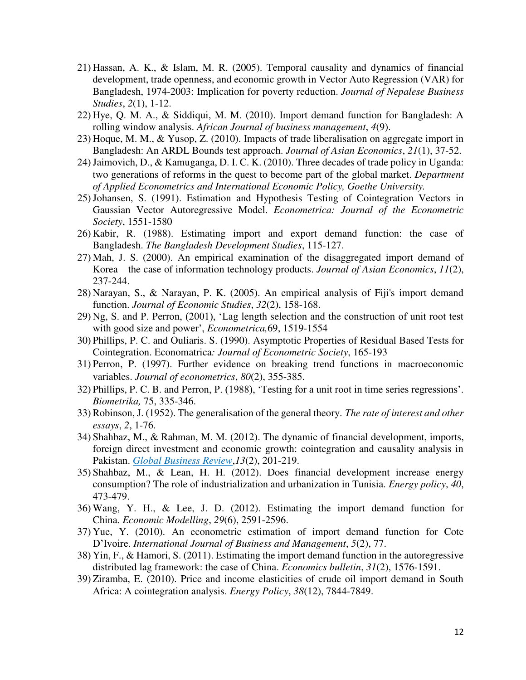- 21) Hassan, A. K., & Islam, M. R. (2005). Temporal causality and dynamics of financial development, trade openness, and economic growth in Vector Auto Regression (VAR) for Bangladesh, 1974-2003: Implication for poverty reduction. *Journal of Nepalese Business Studies*, *2*(1), 1-12.
- 22) Hye, Q. M. A., & Siddiqui, M. M. (2010). Import demand function for Bangladesh: A rolling window analysis. *African Journal of business management*, *4*(9).
- 23) Hoque, M. M., & Yusop, Z. (2010). Impacts of trade liberalisation on aggregate import in Bangladesh: An ARDL Bounds test approach. *Journal of Asian Economics*, *21*(1), 37-52.
- 24)Jaimovich, D., & Kamuganga, D. I. C. K. (2010). Three decades of trade policy in Uganda: two generations of reforms in the quest to become part of the global market. *Department of Applied Econometrics and International Economic Policy, Goethe University.*
- 25)Johansen, S. (1991). Estimation and Hypothesis Testing of Cointegration Vectors in Gaussian Vector Autoregressive Model. *Econometrica: Journal of the Econometric Society*, 1551-1580
- 26) Kabir, R. (1988). Estimating import and export demand function: the case of Bangladesh. *The Bangladesh Development Studies*, 115-127.
- 27) Mah, J. S. (2000). An empirical examination of the disaggregated import demand of Korea—the case of information technology products. *Journal of Asian Economics*, *11*(2), 237-244.
- 28) Narayan, S., & Narayan, P. K. (2005). An empirical analysis of Fiji's import demand function. *Journal of Economic Studies*, *32*(2), 158-168.
- 29) Ng, S. and P. Perron, (2001), 'Lag length selection and the construction of unit root test with good size and power', *Econometrica,*69, 1519-1554
- 30) Phillips, P. C. and Ouliaris. S. (1990). Asymptotic Properties of Residual Based Tests for Cointegration. Economatrica*: Journal of Econometric Society*, 165-193
- 31) Perron, P. (1997). Further evidence on breaking trend functions in macroeconomic variables. *Journal of econometrics*, *80*(2), 355-385.
- 32) Phillips, P. C. B. and Perron, P. (1988), 'Testing for a unit root in time series regressions'. *Biometrika,* 75, 335-346.
- 33)Robinson, J. (1952). The generalisation of the general theory. *The rate of interest and other essays*, *2*, 1-76.
- 34) Shahbaz, M., & Rahman, M. M. (2012). The dynamic of financial development, imports, foreign direct investment and economic growth: cointegration and causality analysis in Pakistan. *Global Business Review*,*13*(2), 201-219.
- 35) Shahbaz, M., & Lean, H. H. (2012). Does financial development increase energy consumption? The role of industrialization and urbanization in Tunisia. *Energy policy*, *40*, 473-479.
- 36) Wang, Y. H., & Lee, J. D. (2012). Estimating the import demand function for China. *Economic Modelling*, *29*(6), 2591-2596.
- 37) Yue, Y. (2010). An econometric estimation of import demand function for Cote D'Ivoire. *International Journal of Business and Management*, *5*(2), 77.
- 38) Yin, F., & Hamori, S. (2011). Estimating the import demand function in the autoregressive distributed lag framework: the case of China. *Economics bulletin*, *31*(2), 1576-1591.
- 39) Ziramba, E. (2010). Price and income elasticities of crude oil import demand in South Africa: A cointegration analysis. *Energy Policy*, *38*(12), 7844-7849.